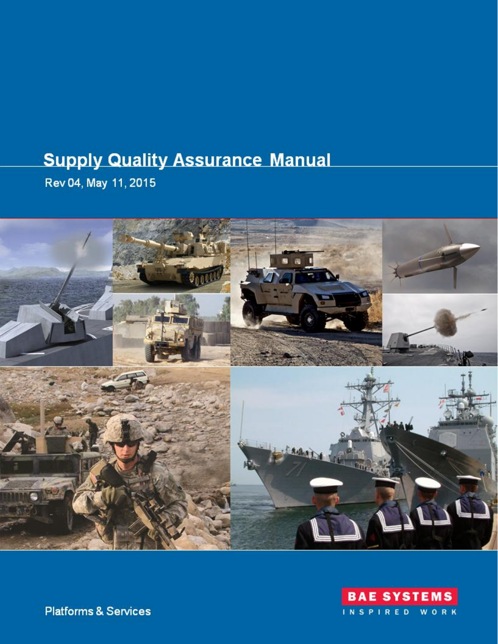# **Supply Quality Assurance Manual**

Rev 04, May 11, 2015





**Platforms & Services**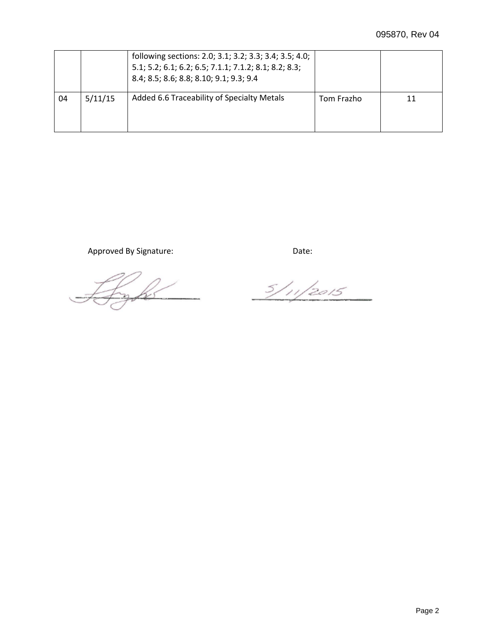|    |         | following sections: 2.0; 3.1; 3.2; 3.3; 3.4; 3.5; 4.0;<br>5.1; 5.2; 6.1; 6.2; 6.5; 7.1.1; 7.1.2; 8.1; 8.2; 8.3;<br>8.4; 8.5; 8.6; 8.8; 8.10; 9.1; 9.3; 9.4 |            |  |
|----|---------|------------------------------------------------------------------------------------------------------------------------------------------------------------|------------|--|
| 04 | 5/11/15 | Added 6.6 Traceability of Specialty Metals                                                                                                                 | Tom Frazho |  |

Approved By Signature: Date: Date:

Lyfe

 $5/11/2015$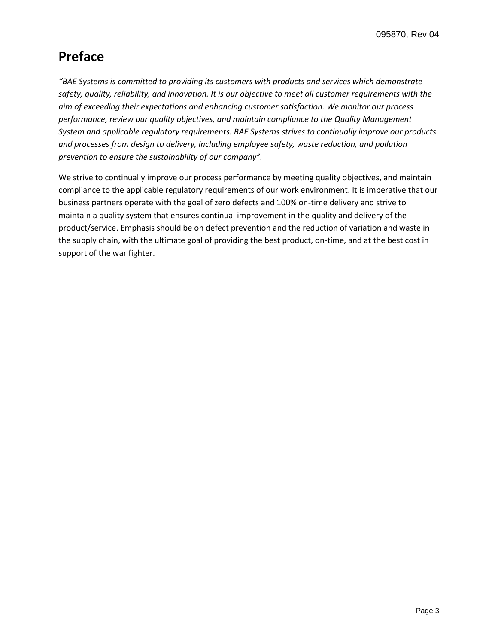# **Preface**

*"BAE Systems is committed to providing its customers with products and services which demonstrate safety, quality, reliability, and innovation. It is our objective to meet all customer requirements with the aim of exceeding their expectations and enhancing customer satisfaction. We monitor our process performance, review our quality objectives, and maintain compliance to the Quality Management System and applicable regulatory requirements. BAE Systems strives to continually improve our products and processes from design to delivery, including employee safety, waste reduction, and pollution prevention to ensure the sustainability of our company".* 

We strive to continually improve our process performance by meeting quality objectives, and maintain compliance to the applicable regulatory requirements of our work environment. It is imperative that our business partners operate with the goal of zero defects and 100% on-time delivery and strive to maintain a quality system that ensures continual improvement in the quality and delivery of the product/service. Emphasis should be on defect prevention and the reduction of variation and waste in the supply chain, with the ultimate goal of providing the best product, on-time, and at the best cost in support of the war fighter.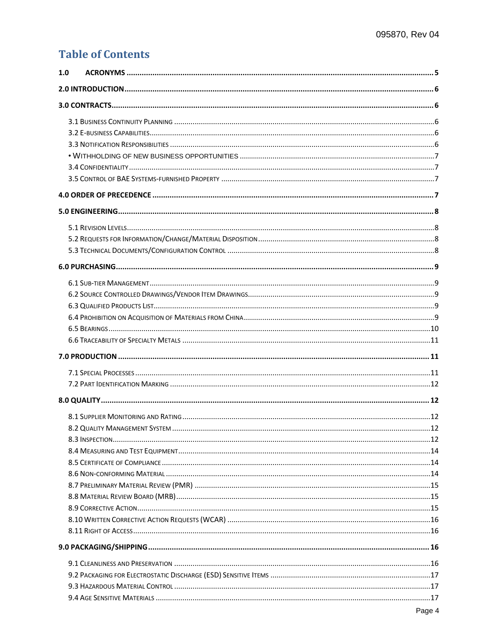### **Table of Contents**

| 1.0 |  |
|-----|--|
|     |  |
|     |  |
|     |  |
|     |  |
|     |  |
|     |  |
|     |  |
|     |  |
|     |  |
|     |  |
|     |  |
|     |  |
|     |  |
|     |  |
|     |  |
|     |  |
|     |  |
|     |  |
|     |  |
|     |  |
|     |  |
|     |  |
|     |  |
|     |  |
|     |  |
|     |  |
|     |  |
|     |  |
|     |  |
|     |  |
|     |  |
|     |  |
|     |  |
|     |  |
|     |  |
|     |  |
|     |  |
|     |  |
|     |  |
|     |  |
|     |  |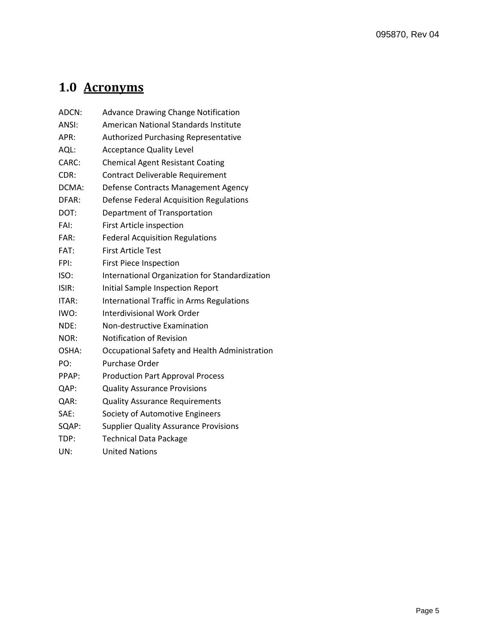# <span id="page-4-0"></span>**1.0 Acronyms**

| ADCN: | <b>Advance Drawing Change Notification</b>       |
|-------|--------------------------------------------------|
| ANSI: | American National Standards Institute            |
| APR:  | <b>Authorized Purchasing Representative</b>      |
| AQL:  | <b>Acceptance Quality Level</b>                  |
| CARC: | <b>Chemical Agent Resistant Coating</b>          |
| CDR:  | <b>Contract Deliverable Requirement</b>          |
| DCMA: | Defense Contracts Management Agency              |
| DFAR: | Defense Federal Acquisition Regulations          |
| DOT:  | Department of Transportation                     |
| FAI:  | First Article inspection                         |
| FAR:  | <b>Federal Acquisition Regulations</b>           |
| FAT:  | <b>First Article Test</b>                        |
| FPI:  | <b>First Piece Inspection</b>                    |
| ISO:  | International Organization for Standardization   |
| ISIR: | Initial Sample Inspection Report                 |
| ITAR: | <b>International Traffic in Arms Regulations</b> |
| IWO:  | Interdivisional Work Order                       |
| NDE:  | Non-destructive Examination                      |
| NOR:  | <b>Notification of Revision</b>                  |
| OSHA: | Occupational Safety and Health Administration    |
| PO:   | <b>Purchase Order</b>                            |
| PPAP: | <b>Production Part Approval Process</b>          |
| QAP:  | <b>Quality Assurance Provisions</b>              |
| QAR:  | <b>Quality Assurance Requirements</b>            |
| SAE:  | Society of Automotive Engineers                  |
| SQAP: | <b>Supplier Quality Assurance Provisions</b>     |
| TDP:  | <b>Technical Data Package</b>                    |
| UN:   | <b>United Nations</b>                            |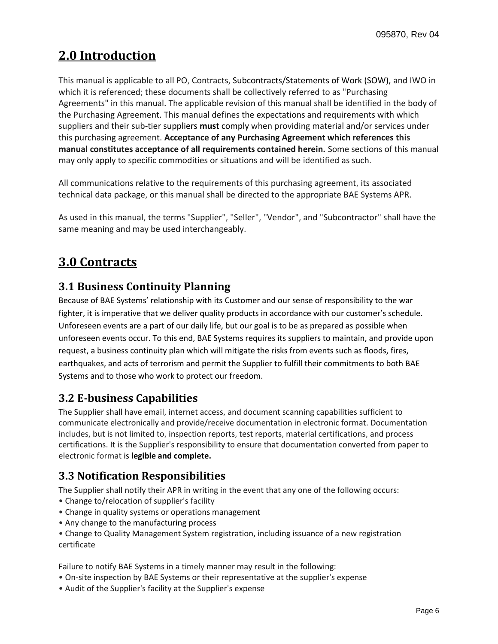# <span id="page-5-0"></span>**2.0 Introduction**

This manual is applicable to all PO, Contracts, Subcontracts/Statements of Work (SOW), and IWO in which it is referenced; these documents shall be collectively referred to as "Purchasing Agreements" in this manual. The applicable revision of this manual shall be identified in the body of the Purchasing Agreement. This manual defines the expectations and requirements with which suppliers and their sub-tier suppliers **must** comply when providing material and/or services under this purchasing agreement. **Acceptance of any Purchasing Agreement which references this manual constitutes acceptance of all requirements contained herein.** Some sections of this manual may only apply to specific commodities or situations and will be identified as such.

All communications relative to the requirements of this purchasing agreement, its associated technical data package, or this manual shall be directed to the appropriate BAE Systems APR.

As used in this manual, the terms "Supplier", "Seller", "Vendor", and "Subcontractor" shall have the same meaning and may be used interchangeably.

## <span id="page-5-1"></span>**3.0 Contracts**

### <span id="page-5-2"></span>**3.1 Business Continuity Planning**

Because of BAE Systems' relationship with its Customer and our sense of responsibility to the war fighter, it is imperative that we deliver quality products in accordance with our customer's schedule. Unforeseen events are a part of our daily life, but our goal is to be as prepared as possible when unforeseen events occur. To this end, BAE Systems requires its suppliers to maintain, and provide upon request, a business continuity plan which will mitigate the risks from events such as floods, fires, earthquakes, and acts of terrorism and permit the Supplier to fulfill their commitments to both BAE Systems and to those who work to protect our freedom.

### <span id="page-5-3"></span>**3.2 E-business Capabilities**

The Supplier shall have email, internet access, and document scanning capabilities sufficient to communicate electronically and provide/receive documentation in electronic format. Documentation includes, but is not limited to, inspection reports, test reports, material certifications, and process certifications. It is the Supplier's responsibility to ensure that documentation converted from paper to electronic format is **legible and complete.**

### <span id="page-5-4"></span>**3.3 Notification Responsibilities**

The Supplier shall notify their APR in writing in the event that any one of the following occurs:

- Change to/relocation of supplier's facility
- Change in quality systems or operations management
- Any change to the manufacturing process

• Change to Quality Management System registration, including issuance of a new registration certificate

Failure to notify BAE Systems in a timely manner may result in the following:

- On-site inspection by BAE Systems or their representative at the supplier's expense
- Audit of the Supplier's facility at the Supplier's expense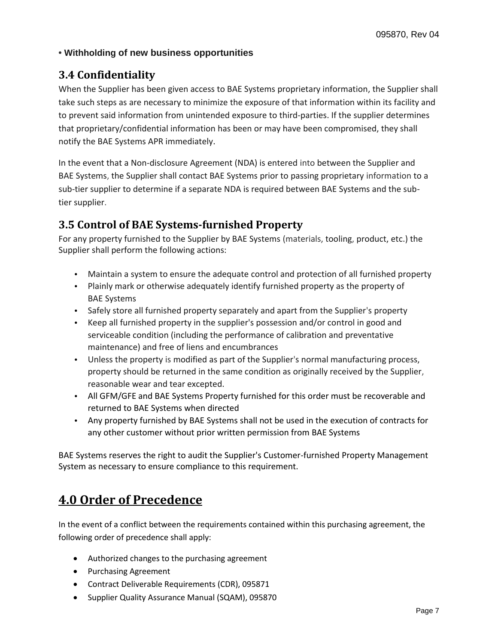#### <span id="page-6-0"></span>**• Withholding of new business opportunities**

### <span id="page-6-1"></span>**3.4 Confidentiality**

When the Supplier has been given access to BAE Systems proprietary information, the Supplier shall take such steps as are necessary to minimize the exposure of that information within its facility and to prevent said information from unintended exposure to third-parties. If the supplier determines that proprietary/confidential information has been or may have been compromised, they shall notify the BAE Systems APR immediately.

In the event that a Non-disclosure Agreement (NDA) is entered into between the Supplier and BAE Systems, the Supplier shall contact BAE Systems prior to passing proprietary information to a sub-tier supplier to determine if a separate NDA is required between BAE Systems and the subtier supplier.

### <span id="page-6-2"></span>**3.5 Control of BAE Systems-furnished Property**

For any property furnished to the Supplier by BAE Systems (materials, tooling, product, etc.) the Supplier shall perform the following actions:

- Maintain a system to ensure the adequate control and protection of all furnished property
- Plainly mark or otherwise adequately identify furnished property as the property of BAE Systems
- Safely store all furnished property separately and apart from the Supplier's property
- Keep all furnished property in the supplier's possession and/or control in good and serviceable condition (including the performance of calibration and preventative maintenance) and free of liens and encumbrances
- Unless the property is modified as part of the Supplier's normal manufacturing process, property should be returned in the same condition as originally received by the Supplier, reasonable wear and tear excepted.
- All GFM/GFE and BAE Systems Property furnished for this order must be recoverable and returned to BAE Systems when directed
- Any property furnished by BAE Systems shall not be used in the execution of contracts for any other customer without prior written permission from BAE Systems

BAE Systems reserves the right to audit the Supplier's Customer-furnished Property Management System as necessary to ensure compliance to this requirement.

### <span id="page-6-3"></span>**4.0 Order of Precedence**

In the event of a conflict between the requirements contained within this purchasing agreement, the following order of precedence shall apply:

- Authorized changes to the purchasing agreement
- Purchasing Agreement
- Contract Deliverable Requirements (CDR), 095871
- Supplier Quality Assurance Manual (SQAM), 095870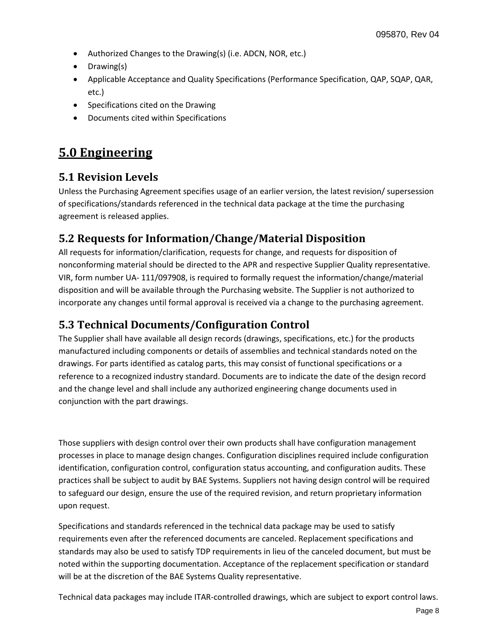- Authorized Changes to the Drawing(s) (i.e. ADCN, NOR, etc.)
- Drawing(s)
- Applicable Acceptance and Quality Specifications (Performance Specification, QAP, SQAP, QAR, etc.)
- Specifications cited on the Drawing
- Documents cited within Specifications

### <span id="page-7-0"></span>**5.0 Engineering**

### <span id="page-7-1"></span>**5.1 Revision Levels**

Unless the Purchasing Agreement specifies usage of an earlier version, the latest revision/ supersession of specifications/standards referenced in the technical data package at the time the purchasing agreement is released applies.

### <span id="page-7-2"></span>**5.2 Requests for Information/Change/Material Disposition**

All requests for information/clarification, requests for change, and requests for disposition of nonconforming material should be directed to the APR and respective Supplier Quality representative. VIR, form number UA- 111/097908, is required to formally request the information/change/material disposition and will be available through the Purchasing website. The Supplier is not authorized to incorporate any changes until formal approval is received via a change to the purchasing agreement.

### <span id="page-7-3"></span>**5.3 Technical Documents/Configuration Control**

The Supplier shall have available all design records (drawings, specifications, etc.) for the products manufactured including components or details of assemblies and technical standards noted on the drawings. For parts identified as catalog parts, this may consist of functional specifications or a reference to a recognized industry standard. Documents are to indicate the date of the design record and the change level and shall include any authorized engineering change documents used in conjunction with the part drawings.

Those suppliers with design control over their own products shall have configuration management processes in place to manage design changes. Configuration disciplines required include configuration identification, configuration control, configuration status accounting, and configuration audits. These practices shall be subject to audit by BAE Systems. Suppliers not having design control will be required to safeguard our design, ensure the use of the required revision, and return proprietary information upon request.

Specifications and standards referenced in the technical data package may be used to satisfy requirements even after the referenced documents are canceled. Replacement specifications and standards may also be used to satisfy TDP requirements in lieu of the canceled document, but must be noted within the supporting documentation. Acceptance of the replacement specification or standard will be at the discretion of the BAE Systems Quality representative.

Technical data packages may include ITAR-controlled drawings, which are subject to export control laws.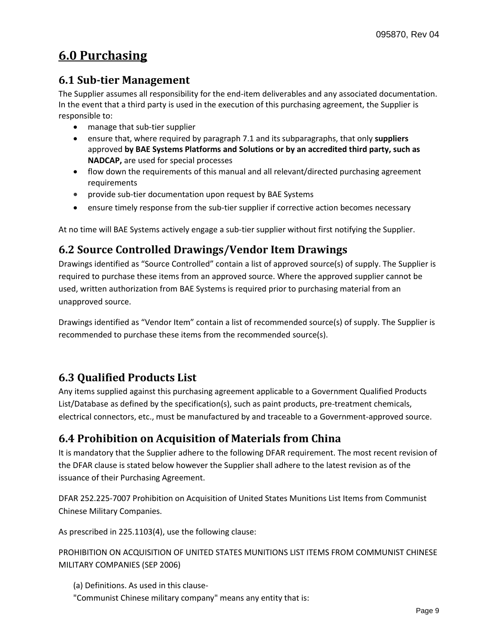# <span id="page-8-0"></span>**6.0 Purchasing**

### <span id="page-8-1"></span>**6.1 Sub-tier Management**

The Supplier assumes all responsibility for the end-item deliverables and any associated documentation. In the event that a third party is used in the execution of this purchasing agreement, the Supplier is responsible to:

- manage that sub-tier supplier
- ensure that, where required by paragraph 7.1 and its subparagraphs, that only **suppliers**  approved **by BAE Systems Platforms and Solutions or by an accredited third party, such as NADCAP,** are used for special processes
- flow down the requirements of this manual and all relevant/directed purchasing agreement requirements
- provide sub-tier documentation upon request by BAE Systems
- ensure timely response from the sub-tier supplier if corrective action becomes necessary

At no time will BAE Systems actively engage a sub-tier supplier without first notifying the Supplier.

### <span id="page-8-2"></span>**6.2 Source Controlled Drawings/Vendor Item Drawings**

Drawings identified as "Source Controlled" contain a list of approved source(s) of supply. The Supplier is required to purchase these items from an approved source. Where the approved supplier cannot be used, written authorization from BAE Systems is required prior to purchasing material from an unapproved source.

Drawings identified as "Vendor Item" contain a list of recommended source(s) of supply. The Supplier is recommended to purchase these items from the recommended source(s).

### <span id="page-8-3"></span>**6.3 Qualified Products List**

Any items supplied against this purchasing agreement applicable to a Government Qualified Products List/Database as defined by the specification(s), such as paint products, pre-treatment chemicals, electrical connectors, etc., must be manufactured by and traceable to a Government-approved source.

### <span id="page-8-4"></span>**6.4 Prohibition on Acquisition of Materials from China**

It is mandatory that the Supplier adhere to the following DFAR requirement. The most recent revision of the DFAR clause is stated below however the Supplier shall adhere to the latest revision as of the issuance of their Purchasing Agreement.

DFAR 252.225-7007 Prohibition on Acquisition of United States Munitions List Items from Communist Chinese Military Companies.

As prescribed in 225.1103(4), use the following clause:

PROHIBITION ON ACQUISITION OF UNITED STATES MUNITIONS LIST ITEMS FROM COMMUNIST CHINESE MILITARY COMPANIES (SEP 2006)

- (a) Definitions. As used in this clause-
- "Communist Chinese military company" means any entity that is: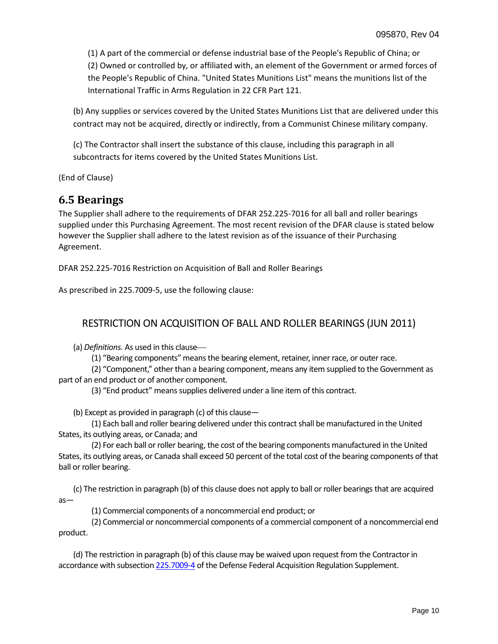(1) A part of the commercial or defense industrial base of the People's Republic of China; or (2) Owned or controlled by, or affiliated with, an element of the Government or armed forces of the People's Republic of China. "United States Munitions List" means the munitions list of the International Traffic in Arms Regulation in 22 CFR Part 121.

(b) Any supplies or services covered by the United States Munitions List that are delivered under this contract may not be acquired, directly or indirectly, from a Communist Chinese military company.

(c) The Contractor shall insert the substance of this clause, including this paragraph in all subcontracts for items covered by the United States Munitions List.

(End of Clause)

### <span id="page-9-0"></span>**6.5 Bearings**

The Supplier shall adhere to the requirements of DFAR 252.225-7016 for all ball and roller bearings supplied under this Purchasing Agreement. The most recent revision of the DFAR clause is stated below however the Supplier shall adhere to the latest revision as of the issuance of their Purchasing Agreement.

DFAR 252.225-7016 Restriction on Acquisition of Ball and Roller Bearings

As prescribed in 225.7009-5, use the following clause:

#### RESTRICTION ON ACQUISITION OF BALL AND ROLLER BEARINGS (JUN 2011)

(a) *Definitions.* As used in this clause

(1) "Bearing components" means the bearing element, retainer, inner race, or outer race.

(2) "Component," other than a bearing component, means any item supplied to the Government as part of an end product or of another component.

(3) "End product" means supplies delivered under a line item of this contract.

(b) Except as provided in paragraph (c) of this clause—

(1) Each ball and roller bearing delivered under this contract shall be manufactured in the United States, its outlying areas, or Canada; and

(2) For each ball or roller bearing, the cost of the bearing components manufactured in the United States, its outlying areas, or Canada shall exceed 50 percent of the total cost of the bearing components of that ball or roller bearing.

(c) The restriction in paragraph (b) of this clause does not apply to ball or roller bearings that are acquired as—

(1) Commercial components of a noncommercial end product; or

(2) Commercial or noncommercial components of a commercial component of a noncommercial end product.

(d) The restriction in paragraph (b) of this clause may be waived upon request from the Contractor in accordance with subsectio[n 225.7009](http://www.acq.osd.mil/dpap/dars/dfars/html/current/225_70.htm#225.7009-4)-4 of the Defense Federal Acquisition Regulation Supplement.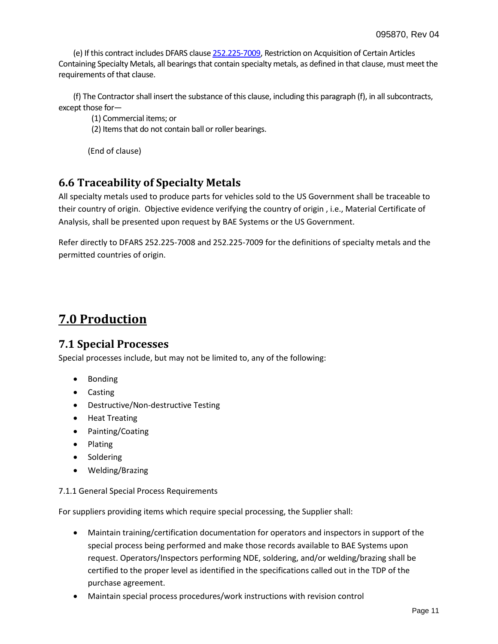(e) If this contract includes DFARS claus[e 252.225](http://www.acq.osd.mil/dpap/dars/dfars/html/current/252225.htm#252.225-7009)-7009, Restriction on Acquisition of Certain Articles Containing Specialty Metals, all bearings that contain specialty metals, as defined in that clause, must meet the requirements of that clause.

(f) The Contractor shall insert the substance of this clause, including this paragraph (f), in all subcontracts, except those for—

(1) Commercial items; or

(2) Items that do not contain ball or roller bearings.

(End of clause)

### <span id="page-10-0"></span>**6.6 Traceability of Specialty Metals**

All specialty metals used to produce parts for vehicles sold to the US Government shall be traceable to their country of origin. Objective evidence verifying the country of origin , i.e., Material Certificate of Analysis, shall be presented upon request by BAE Systems or the US Government.

Refer directly to DFARS 252.225-7008 and 252.225-7009 for the definitions of specialty metals and the permitted countries of origin.

### <span id="page-10-1"></span>**7.0 Production**

#### <span id="page-10-2"></span>**7.1 Special Processes**

Special processes include, but may not be limited to, any of the following:

- Bonding
- Casting
- Destructive/Non-destructive Testing
- Heat Treating
- Painting/Coating
- Plating
- Soldering
- Welding/Brazing

#### 7.1.1 General Special Process Requirements

For suppliers providing items which require special processing, the Supplier shall:

- Maintain training/certification documentation for operators and inspectors in support of the special process being performed and make those records available to BAE Systems upon request. Operators/Inspectors performing NDE, soldering, and/or welding/brazing shall be certified to the proper level as identified in the specifications called out in the TDP of the purchase agreement.
- Maintain special process procedures/work instructions with revision control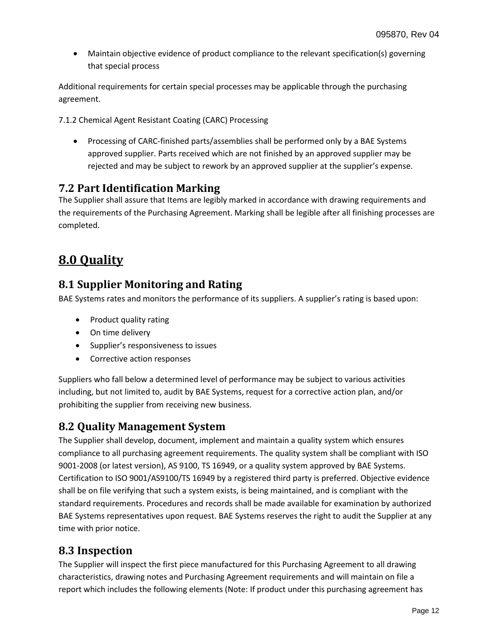Maintain objective evidence of product compliance to the relevant specification(s) governing that special process

Additional requirements for certain special processes may be applicable through the purchasing agreement.

7.1.2 Chemical Agent Resistant Coating (CARC) Processing

 Processing of CARC-finished parts/assemblies shall be performed only by a BAE Systems approved supplier. Parts received which are not finished by an approved supplier may be rejected and may be subject to rework by an approved supplier at the supplier's expense.

#### <span id="page-11-0"></span>**7.2 Part Identification Marking**

The Supplier shall assure that Items are legibly marked in accordance with drawing requirements and the requirements of the Purchasing Agreement. Marking shall be legible after all finishing processes are completed.

### <span id="page-11-1"></span>**8.0 Quality**

### <span id="page-11-2"></span>**8.1 Supplier Monitoring and Rating**

BAE Systems rates and monitors the performance of its suppliers. A supplier's rating is based upon:

- Product quality rating
- On time delivery
- Supplier's responsiveness to issues
- Corrective action responses

Suppliers who fall below a determined level of performance may be subject to various activities including, but not limited to, audit by BAE Systems, request for a corrective action plan, and/or prohibiting the supplier from receiving new business.

### <span id="page-11-3"></span>**8.2 Quality Management System**

The Supplier shall develop, document, implement and maintain a quality system which ensures compliance to all purchasing agreement requirements. The quality system shall be compliant with ISO 9001-2008 (or latest version), AS 9100, TS 16949, or a quality system approved by BAE Systems. Certification to ISO 9001/AS9100/TS 16949 by a registered third party is preferred. Objective evidence shall be on file verifying that such a system exists, is being maintained, and is compliant with the standard requirements. Procedures and records shall be made available for examination by authorized BAE Systems representatives upon request. BAE Systems reserves the right to audit the Supplier at any time with prior notice.

### <span id="page-11-4"></span>**8.3 Inspection**

The Supplier will inspect the first piece manufactured for this Purchasing Agreement to all drawing characteristics, drawing notes and Purchasing Agreement requirements and will maintain on file a report which includes the following elements (Note: If product under this purchasing agreement has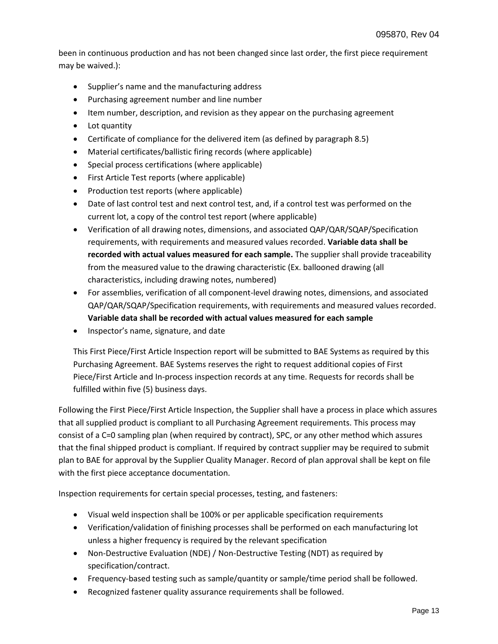been in continuous production and has not been changed since last order, the first piece requirement may be waived.):

- Supplier's name and the manufacturing address
- Purchasing agreement number and line number
- Item number, description, and revision as they appear on the purchasing agreement
- Lot quantity
- Certificate of compliance for the delivered item (as defined by paragraph 8.5)
- Material certificates/ballistic firing records (where applicable)
- Special process certifications (where applicable)
- First Article Test reports (where applicable)
- Production test reports (where applicable)
- Date of last control test and next control test, and, if a control test was performed on the current lot, a copy of the control test report (where applicable)
- Verification of all drawing notes, dimensions, and associated QAP/QAR/SQAP/Specification requirements, with requirements and measured values recorded. **Variable data shall be recorded with actual values measured for each sample.** The supplier shall provide traceability from the measured value to the drawing characteristic (Ex. ballooned drawing (all characteristics, including drawing notes, numbered)
- For assemblies, verification of all component-level drawing notes, dimensions, and associated QAP/QAR/SQAP/Specification requirements, with requirements and measured values recorded. **Variable data shall be recorded with actual values measured for each sample**
- Inspector's name, signature, and date

This First Piece/First Article Inspection report will be submitted to BAE Systems as required by this Purchasing Agreement. BAE Systems reserves the right to request additional copies of First Piece/First Article and In-process inspection records at any time. Requests for records shall be fulfilled within five (5) business days.

Following the First Piece/First Article Inspection, the Supplier shall have a process in place which assures that all supplied product is compliant to all Purchasing Agreement requirements. This process may consist of a C=0 sampling plan (when required by contract), SPC, or any other method which assures that the final shipped product is compliant. If required by contract supplier may be required to submit plan to BAE for approval by the Supplier Quality Manager. Record of plan approval shall be kept on file with the first piece acceptance documentation.

Inspection requirements for certain special processes, testing, and fasteners:

- Visual weld inspection shall be 100% or per applicable specification requirements
- Verification/validation of finishing processes shall be performed on each manufacturing lot unless a higher frequency is required by the relevant specification
- Non-Destructive Evaluation (NDE) / Non-Destructive Testing (NDT) as required by specification/contract.
- Frequency-based testing such as sample/quantity or sample/time period shall be followed.
- Recognized fastener quality assurance requirements shall be followed.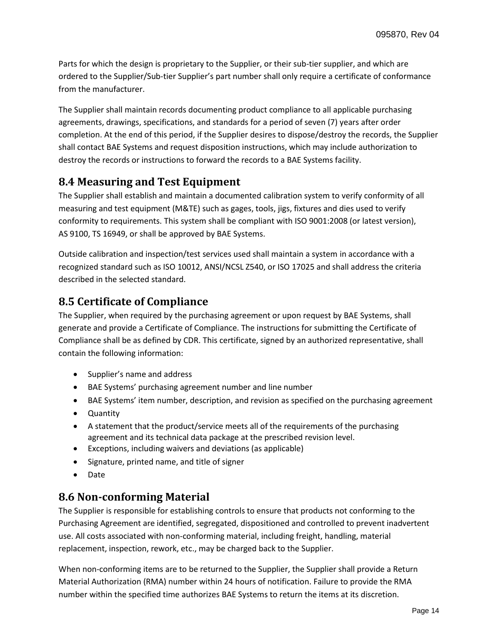Parts for which the design is proprietary to the Supplier, or their sub-tier supplier, and which are ordered to the Supplier/Sub-tier Supplier's part number shall only require a certificate of conformance from the manufacturer.

The Supplier shall maintain records documenting product compliance to all applicable purchasing agreements, drawings, specifications, and standards for a period of seven (7) years after order completion. At the end of this period, if the Supplier desires to dispose/destroy the records, the Supplier shall contact BAE Systems and request disposition instructions, which may include authorization to destroy the records or instructions to forward the records to a BAE Systems facility.

### <span id="page-13-0"></span>**8.4 Measuring and Test Equipment**

The Supplier shall establish and maintain a documented calibration system to verify conformity of all measuring and test equipment (M&TE) such as gages, tools, jigs, fixtures and dies used to verify conformity to requirements. This system shall be compliant with ISO 9001:2008 (or latest version), AS 9100, TS 16949, or shall be approved by BAE Systems.

Outside calibration and inspection/test services used shall maintain a system in accordance with a recognized standard such as ISO 10012, ANSI/NCSL Z540, or ISO 17025 and shall address the criteria described in the selected standard.

### <span id="page-13-1"></span>**8.5 Certificate of Compliance**

The Supplier, when required by the purchasing agreement or upon request by BAE Systems, shall generate and provide a Certificate of Compliance. The instructions for submitting the Certificate of Compliance shall be as defined by CDR. This certificate, signed by an authorized representative, shall contain the following information:

- Supplier's name and address
- BAE Systems' purchasing agreement number and line number
- BAE Systems' item number, description, and revision as specified on the purchasing agreement
- Quantity
- A statement that the product/service meets all of the requirements of the purchasing agreement and its technical data package at the prescribed revision level.
- Exceptions, including waivers and deviations (as applicable)
- Signature, printed name, and title of signer
- Date

### <span id="page-13-2"></span>**8.6 Non-conforming Material**

The Supplier is responsible for establishing controls to ensure that products not conforming to the Purchasing Agreement are identified, segregated, dispositioned and controlled to prevent inadvertent use. All costs associated with non-conforming material, including freight, handling, material replacement, inspection, rework, etc., may be charged back to the Supplier.

When non-conforming items are to be returned to the Supplier, the Supplier shall provide a Return Material Authorization (RMA) number within 24 hours of notification. Failure to provide the RMA number within the specified time authorizes BAE Systems to return the items at its discretion.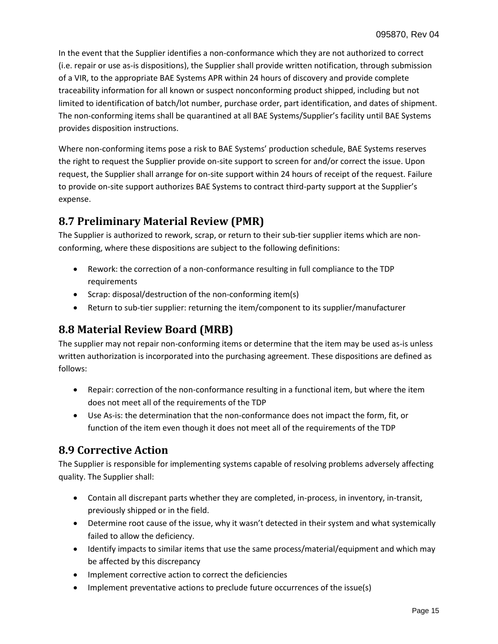In the event that the Supplier identifies a non-conformance which they are not authorized to correct (i.e. repair or use as-is dispositions), the Supplier shall provide written notification, through submission of a VIR, to the appropriate BAE Systems APR within 24 hours of discovery and provide complete traceability information for all known or suspect nonconforming product shipped, including but not limited to identification of batch/lot number, purchase order, part identification, and dates of shipment. The non-conforming items shall be quarantined at all BAE Systems/Supplier's facility until BAE Systems provides disposition instructions.

Where non-conforming items pose a risk to BAE Systems' production schedule, BAE Systems reserves the right to request the Supplier provide on-site support to screen for and/or correct the issue. Upon request, the Supplier shall arrange for on-site support within 24 hours of receipt of the request. Failure to provide on-site support authorizes BAE Systems to contract third-party support at the Supplier's expense.

### <span id="page-14-0"></span>**8.7 Preliminary Material Review (PMR)**

The Supplier is authorized to rework, scrap, or return to their sub-tier supplier items which are nonconforming, where these dispositions are subject to the following definitions:

- Rework: the correction of a non-conformance resulting in full compliance to the TDP requirements
- Scrap: disposal/destruction of the non-conforming item(s)
- Return to sub-tier supplier: returning the item/component to its supplier/manufacturer

### <span id="page-14-1"></span>**8.8 Material Review Board (MRB)**

The supplier may not repair non-conforming items or determine that the item may be used as-is unless written authorization is incorporated into the purchasing agreement. These dispositions are defined as follows:

- Repair: correction of the non-conformance resulting in a functional item, but where the item does not meet all of the requirements of the TDP
- Use As-is: the determination that the non-conformance does not impact the form, fit, or function of the item even though it does not meet all of the requirements of the TDP

### <span id="page-14-2"></span>**8.9 Corrective Action**

The Supplier is responsible for implementing systems capable of resolving problems adversely affecting quality. The Supplier shall:

- Contain all discrepant parts whether they are completed, in-process, in inventory, in-transit, previously shipped or in the field.
- Determine root cause of the issue, why it wasn't detected in their system and what systemically failed to allow the deficiency.
- Identify impacts to similar items that use the same process/material/equipment and which may be affected by this discrepancy
- Implement corrective action to correct the deficiencies
- Implement preventative actions to preclude future occurrences of the issue(s)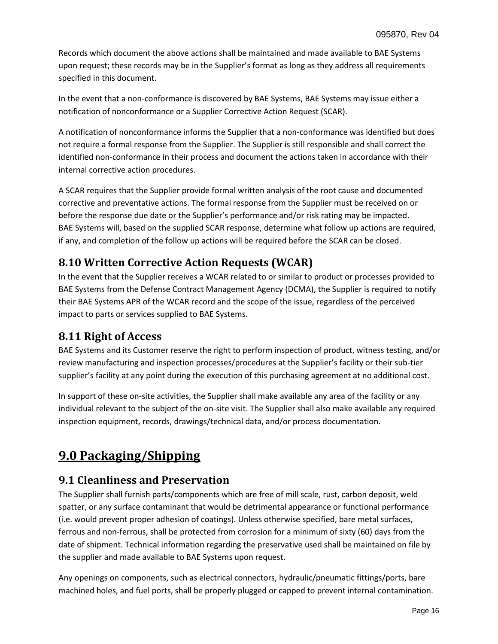Records which document the above actions shall be maintained and made available to BAE Systems upon request; these records may be in the Supplier's format as long as they address all requirements specified in this document.

In the event that a non-conformance is discovered by BAE Systems, BAE Systems may issue either a notification of nonconformance or a Supplier Corrective Action Request (SCAR).

A notification of nonconformance informs the Supplier that a non-conformance was identified but does not require a formal response from the Supplier. The Supplier is still responsible and shall correct the identified non-conformance in their process and document the actions taken in accordance with their internal corrective action procedures.

A SCAR requires that the Supplier provide formal written analysis of the root cause and documented corrective and preventative actions. The formal response from the Supplier must be received on or before the response due date or the Supplier's performance and/or risk rating may be impacted. BAE Systems will, based on the supplied SCAR response, determine what follow up actions are required, if any, and completion of the follow up actions will be required before the SCAR can be closed.

### <span id="page-15-0"></span>**8.10 Written Corrective Action Requests (WCAR)**

In the event that the Supplier receives a WCAR related to or similar to product or processes provided to BAE Systems from the Defense Contract Management Agency (DCMA), the Supplier is required to notify their BAE Systems APR of the WCAR record and the scope of the issue, regardless of the perceived impact to parts or services supplied to BAE Systems.

### <span id="page-15-1"></span>**8.11 Right of Access**

BAE Systems and its Customer reserve the right to perform inspection of product, witness testing, and/or review manufacturing and inspection processes/procedures at the Supplier's facility or their sub-tier supplier's facility at any point during the execution of this purchasing agreement at no additional cost.

In support of these on-site activities, the Supplier shall make available any area of the facility or any individual relevant to the subject of the on-site visit. The Supplier shall also make available any required inspection equipment, records, drawings/technical data, and/or process documentation.

### <span id="page-15-2"></span>**9.0 Packaging/Shipping**

### <span id="page-15-3"></span>**9.1 Cleanliness and Preservation**

The Supplier shall furnish parts/components which are free of mill scale, rust, carbon deposit, weld spatter, or any surface contaminant that would be detrimental appearance or functional performance (i.e. would prevent proper adhesion of coatings). Unless otherwise specified, bare metal surfaces, ferrous and non-ferrous, shall be protected from corrosion for a minimum of sixty (60) days from the date of shipment. Technical information regarding the preservative used shall be maintained on file by the supplier and made available to BAE Systems upon request.

Any openings on components, such as electrical connectors, hydraulic/pneumatic fittings/ports, bare machined holes, and fuel ports, shall be properly plugged or capped to prevent internal contamination.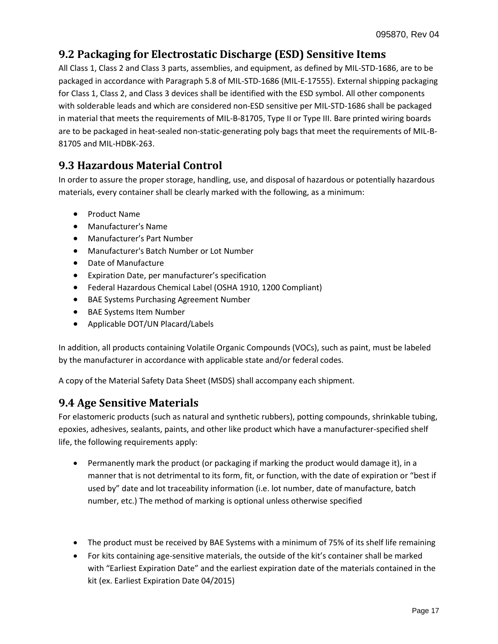### <span id="page-16-0"></span>**9.2 Packaging for Electrostatic Discharge (ESD) Sensitive Items**

All Class 1, Class 2 and Class 3 parts, assemblies, and equipment, as defined by MIL-STD-1686, are to be packaged in accordance with Paragraph 5.8 of MIL-STD-1686 (MIL-E-17555). External shipping packaging for Class 1, Class 2, and Class 3 devices shall be identified with the ESD symbol. All other components with solderable leads and which are considered non-ESD sensitive per MIL-STD-1686 shall be packaged in material that meets the requirements of MIL-B-81705, Type II or Type III. Bare printed wiring boards are to be packaged in heat-sealed non-static-generating poly bags that meet the requirements of MIL-B-81705 and MIL-HDBK-263.

### <span id="page-16-1"></span>**9.3 Hazardous Material Control**

In order to assure the proper storage, handling, use, and disposal of hazardous or potentially hazardous materials, every container shall be clearly marked with the following, as a minimum:

- Product Name
- Manufacturer's Name
- Manufacturer's Part Number
- Manufacturer's Batch Number or Lot Number
- Date of Manufacture
- Expiration Date, per manufacturer's specification
- Federal Hazardous Chemical Label (OSHA 1910, 1200 Compliant)
- BAE Systems Purchasing Agreement Number
- BAE Systems Item Number
- Applicable DOT/UN Placard/Labels

In addition, all products containing Volatile Organic Compounds (VOCs), such as paint, must be labeled by the manufacturer in accordance with applicable state and/or federal codes.

A copy of the Material Safety Data Sheet (MSDS) shall accompany each shipment.

### <span id="page-16-2"></span>**9.4 Age Sensitive Materials**

For elastomeric products (such as natural and synthetic rubbers), potting compounds, shrinkable tubing, epoxies, adhesives, sealants, paints, and other like product which have a manufacturer-specified shelf life, the following requirements apply:

- Permanently mark the product (or packaging if marking the product would damage it), in a manner that is not detrimental to its form, fit, or function, with the date of expiration or "best if used by" date and lot traceability information (i.e. lot number, date of manufacture, batch number, etc.) The method of marking is optional unless otherwise specified
- The product must be received by BAE Systems with a minimum of 75% of its shelf life remaining
- For kits containing age-sensitive materials, the outside of the kit's container shall be marked with "Earliest Expiration Date" and the earliest expiration date of the materials contained in the kit (ex. Earliest Expiration Date 04/2015)